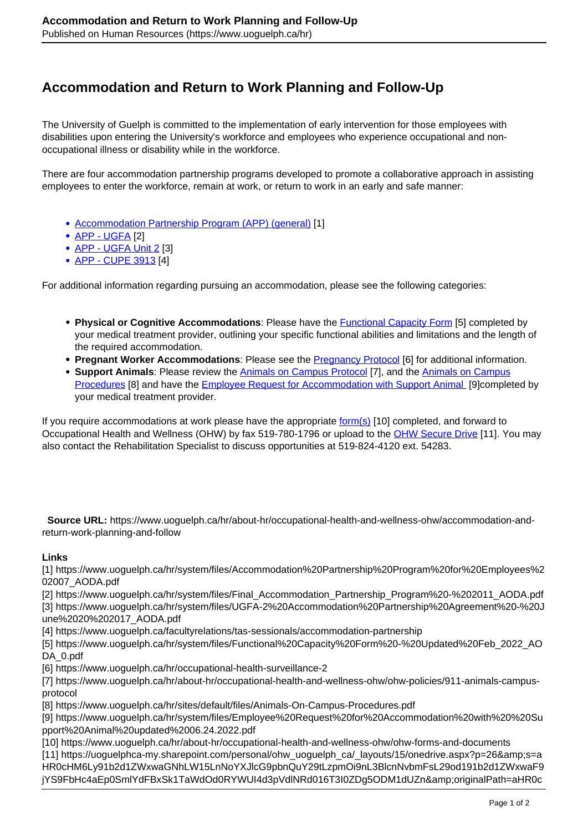## **Accommodation and Return to Work Planning and Follow-Up**

The University of Guelph is committed to the implementation of early intervention for those employees with disabilities upon entering the University's workforce and employees who experience occupational and nonoccupational illness or disability while in the workforce.

There are four accommodation partnership programs developed to promote a collaborative approach in assisting employees to enter the workforce, remain at work, or return to work in an early and safe manner:

- [Accommodation Partnership Program \(APP\) \(general\)](https://www.uoguelph.ca/hr/system/files/Accommodation%20Partnership%20Program%20for%20Employees%202007_AODA.pdf) [1]
- APP UGFA [2]
- APP UGFA Unit 2 [3]
- APP CUPE 3913 [4]

For additional information regarding pursuing an accommodation, please see the following categories:

- **Physical or Cognitive Accommodations**: Please have the **Functional Capacity Form** [5] completed by your medical treatment provider, outlining your specific functional abilities and limitations and the length of the required accommodation.
- **Pregnant Worker Accommodations**: Please see the Pregnancy Protocol [6] for additional information.
- **Support Animals**: Please review the **Animals on Campus Protocol** [7], and the **Animals on Campus** Procedures [8] and have the Employee Request for Accommodation with Support Animal [9]completed by your medical treatment provider.

If you require accommodations at work please have the appropriate form(s) [10] completed, and forward to Occupational Health and Wellness (OHW) by fax 519-780-1796 or upload to the OHW Secure Drive [11]. You may also contact the Rehabilitation Specialist to discuss opportunities at 519-824-4120 ext. 54283.

 **Source URL:** https://www.uoguelph.ca/hr/about-hr/occupational-health-and-wellness-ohw/accommodation-andreturn-work-planning-and-follow

## **Links**

[1] https://www.uoguelph.ca/hr/system/files/Accommodation%20Partnership%20Program%20for%20Employees%2 02007\_AODA.pdf

[2] https://www.uoguelph.ca/hr/system/files/Final\_Accommodation\_Partnership\_Program%20-%202011\_AODA.pdf [3] https://www.uoguelph.ca/hr/system/files/UGFA-2%20Accommodation%20Partnership%20Agreement%20-%20J une%2020%202017\_AODA.pdf

[4] https://www.uoguelph.ca/facultyrelations/tas-sessionals/accommodation-partnership

[5] https://www.uoguelph.ca/hr/system/files/Functional%20Capacity%20Form%20-%20Updated%20Feb\_2022\_AO DA\_0.pdf

[6] https://www.uoguelph.ca/hr/occupational-health-surveillance-2

[7] https://www.uoguelph.ca/hr/about-hr/occupational-health-and-wellness-ohw/ohw-policies/911-animals-campusprotocol

[8] https://www.uoguelph.ca/hr/sites/default/files/Animals-On-Campus-Procedures.pdf

[9] https://www.uoguelph.ca/hr/system/files/Employee%20Request%20for%20Accommodation%20with%20%20Su pport%20Animal%20updated%2006.24.2022.pdf

[10] https://www.uoguelph.ca/hr/about-hr/occupational-health-and-wellness-ohw/ohw-forms-and-documents

[11] https://uoguelphca-my.sharepoint.com/personal/ohw\_uoguelph\_ca/\_layouts/15/onedrive.aspx?p=26&s=a HR0cHM6Ly91b2d1ZWxwaGNhLW15LnNoYXJlcG9pbnQuY29tLzpmOi9nL3BlcnNvbmFsL29od191b2d1ZWxwaF9 jYS9FbHc4aEp0SmlYdFBxSk1TaWdOd0RYWUI4d3pVdlNRd016T3I0ZDg5ODM1dUZn&originalPath=aHR0c